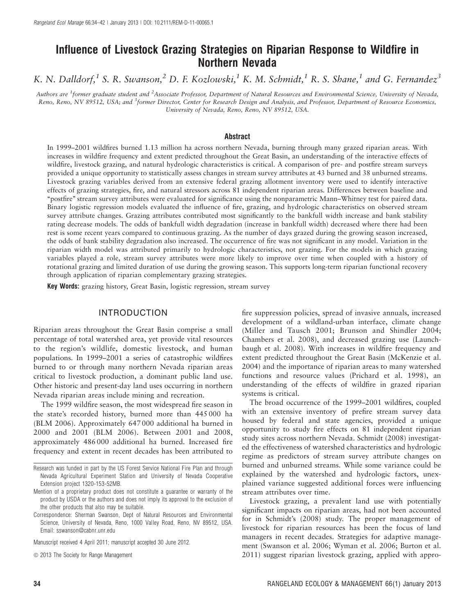# Influence of Livestock Grazing Strategies on Riparian Response to Wildfire in Northern Nevada

K. N. Dalldorf,<sup>1</sup> S. R. Swanson,<sup>2</sup> D. F. Kozlowski,<sup>1</sup> K. M. Schmidt,<sup>1</sup> R. S. Shane,<sup>1</sup> and G. Fernandez<sup>3</sup>

Authors are <sup>1</sup>former graduate student and <sup>2</sup>Associate Professor, Department of Natural Resources and Environmental Science, University of Nevada, Reno, Reno, NV 89512, USA; and <sup>3</sup>former Director, Center for Research Design and Analysis, and Professor, Department of Resource Economics, University of Nevada, Reno, Reno, NV 89512, USA.

#### **Abstract**

In 1999–2001 wildfires burned 1.13 million ha across northern Nevada, burning through many grazed riparian areas. With increases in wildfire frequency and extent predicted throughout the Great Basin, an understanding of the interactive effects of wildfire, livestock grazing, and natural hydrologic characteristics is critical. A comparison of pre- and postfire stream surveys provided a unique opportunity to statistically assess changes in stream survey attributes at 43 burned and 38 unburned streams. Livestock grazing variables derived from an extensive federal grazing allotment inventory were used to identify interactive effects of grazing strategies, fire, and natural stressors across 81 independent riparian areas. Differences between baseline and ''postfire'' stream survey attributes were evaluated for significance using the nonparametric Mann–Whitney test for paired data. Binary logistic regression models evaluated the influence of fire, grazing, and hydrologic characteristics on observed stream survey attribute changes. Grazing attributes contributed most significantly to the bankfull width increase and bank stability rating decrease models. The odds of bankfull width degradation (increase in bankfull width) decreased where there had been rest is some recent years compared to continuous grazing. As the number of days grazed during the growing season increased, the odds of bank stability degradation also increased. The occurrence of fire was not significant in any model. Variation in the riparian width model was attributed primarily to hydrologic characteristics, not grazing. For the models in which grazing variables played a role, stream survey attributes were more likely to improve over time when coupled with a history of rotational grazing and limited duration of use during the growing season. This supports long-term riparian functional recovery through application of riparian complementary grazing strategies.

Key Words: grazing history, Great Basin, logistic regression, stream survey

### INTRODUCTION

Riparian areas throughout the Great Basin comprise a small percentage of total watershed area, yet provide vital resources to the region's wildlife, domestic livestock, and human populations. In 1999–2001 a series of catastrophic wildfires burned to or through many northern Nevada riparian areas critical to livestock production, a dominant public land use. Other historic and present-day land uses occurring in northern Nevada riparian areas include mining and recreation.

The 1999 wildfire season, the most widespread fire season in the state's recorded history, burned more than 445 000 ha (BLM 2006). Approximately 647 000 additional ha burned in 2000 and 2001 (BLM 2006). Between 2001 and 2008, approximately 486 000 additional ha burned. Increased fire frequency and extent in recent decades has been attributed to

Correspondence: Sherman Swanson, Dept of Natural Resources and Environmental Science, University of Nevada, Reno, 1000 Valley Road, Reno, NV 89512, USA. Email: sswanson@cabnr.unr.edu

Manuscript received 4 April 2011; manuscript accepted 30 June 2012.

fire suppression policies, spread of invasive annuals, increased development of a wildland-urban interface, climate change (Miller and Tausch 2001; Brunson and Shindler 2004; Chambers et al. 2008), and decreased grazing use (Launchbaugh et al. 2008). With increases in wildfire frequency and extent predicted throughout the Great Basin (McKenzie et al. 2004) and the importance of riparian areas to many watershed functions and resource values (Prichard et al. 1998), an understanding of the effects of wildfire in grazed riparian systems is critical.

The broad occurrence of the 1999–2001 wildfires, coupled with an extensive inventory of prefire stream survey data housed by federal and state agencies, provided a unique opportunity to study fire effects on 81 independent riparian study sites across northern Nevada. Schmidt (2008) investigated the effectiveness of watershed characteristics and hydrologic regime as predictors of stream survey attribute changes on burned and unburned streams. While some variance could be explained by the watershed and hydrologic factors, unexplained variance suggested additional forces were influencing stream attributes over time.

Livestock grazing, a prevalent land use with potentially significant impacts on riparian areas, had not been accounted for in Schmidt's (2008) study. The proper management of livestock for riparian resources has been the focus of land managers in recent decades. Strategies for adaptive management (Swanson et al. 2006; Wyman et al. 2006; Burton et al. 2011) suggest riparian livestock grazing, applied with appro-

Research was funded in part by the US Forest Service National Fire Plan and through Nevada Agricultural Experiment Station and University of Nevada Cooperative Extension project 1320-153-52MB.

Mention of a proprietary product does not constitute a guarantee or warranty of the product by USDA or the authors and does not imply its approval to the exclusion of the other products that also may be suitable.

 $\odot$  2013 The Society for Range Management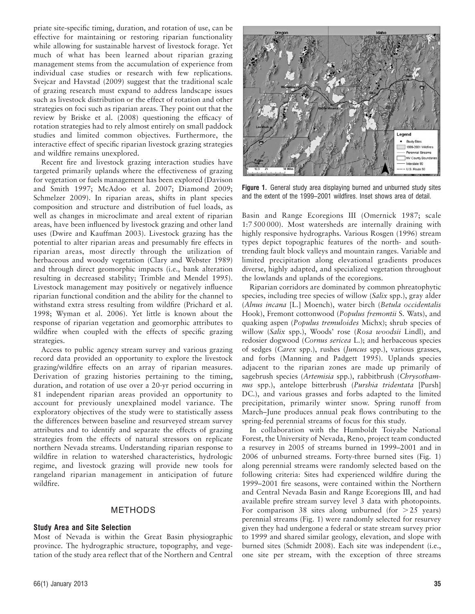priate site-specific timing, duration, and rotation of use, can be effective for maintaining or restoring riparian functionality while allowing for sustainable harvest of livestock forage. Yet much of what has been learned about riparian grazing management stems from the accumulation of experience from individual case studies or research with few replications. Svejcar and Havstad (2009) suggest that the traditional scale of grazing research must expand to address landscape issues such as livestock distribution or the effect of rotation and other strategies on foci such as riparian areas. They point out that the review by Briske et al. (2008) questioning the efficacy of rotation strategies had to rely almost entirely on small paddock studies and limited common objectives. Furthermore, the interactive effect of specific riparian livestock grazing strategies and wildfire remains unexplored.

Recent fire and livestock grazing interaction studies have targeted primarily uplands where the effectiveness of grazing for vegetation or fuels management has been explored (Davison and Smith 1997; McAdoo et al. 2007; Diamond 2009; Schmelzer 2009). In riparian areas, shifts in plant species composition and structure and distribution of fuel loads, as well as changes in microclimate and areal extent of riparian areas, have been influenced by livestock grazing and other land uses (Dwire and Kauffman 2003). Livestock grazing has the potential to alter riparian areas and presumably fire effects in riparian areas, most directly through the utilization of herbaceous and woody vegetation (Clary and Webster 1989) and through direct geomorphic impacts (i.e., bank alteration resulting in decreased stability; Trimble and Mendel 1995). Livestock management may positively or negatively influence riparian functional condition and the ability for the channel to withstand extra stress resulting from wildfire (Prichard et al. 1998; Wyman et al. 2006). Yet little is known about the response of riparian vegetation and geomorphic attributes to wildfire when coupled with the effects of specific grazing strategies.

Access to public agency stream survey and various grazing record data provided an opportunity to explore the livestock grazing/wildfire effects on an array of riparian measures. Derivation of grazing histories pertaining to the timing, duration, and rotation of use over a 20-yr period occurring in 81 independent riparian areas provided an opportunity to account for previously unexplained model variance. The exploratory objectives of the study were to statistically assess the differences between baseline and resurveyed stream survey attributes and to identify and separate the effects of grazing strategies from the effects of natural stressors on replicate northern Nevada streams. Understanding riparian response to wildfire in relation to watershed characteristics, hydrologic regime, and livestock grazing will provide new tools for rangeland riparian management in anticipation of future wildfire.

### METHODS

### Study Area and Site Selection

Most of Nevada is within the Great Basin physiographic province. The hydrographic structure, topography, and vegetation of the study area reflect that of the Northern and Central



Figure 1. General study area displaying burned and unburned study sites and the extent of the 1999–2001 wildfires. Inset shows area of detail.

Basin and Range Ecoregions III (Omernick 1987; scale 1:7 500 000). Most watersheds are internally draining with highly responsive hydrographs. Various Rosgen (1996) stream types depict topographic features of the north- and southtrending fault block valleys and mountain ranges. Variable and limited precipitation along elevational gradients produces diverse, highly adapted, and specialized vegetation throughout the lowlands and uplands of the ecoregions.

Riparian corridors are dominated by common phreatophytic species, including tree species of willow (Salix spp.), gray alder (Alnus incana [L.] Moench), water birch (Betula occidentalis Hook), Fremont cottonwood (Populus fremontii S. Wats), and quaking aspen (Populus tremuloides Michx); shrub species of willow (Salix spp.), Woods' rose (Rosa woodsii Lindl), and redosier dogwood (Cornus sericea L.); and herbaceous species of sedges (Carex spp.), rushes (Juncus spp.), various grasses, and forbs (Manning and Padgett 1995). Uplands species adjacent to the riparian zones are made up primarily of sagebrush species (Artemisia spp.), rabbitbrush (Chrysothamnus spp.), antelope bitterbrush (Purshia tridentata [Pursh] DC.), and various grasses and forbs adapted to the limited precipitation, primarily winter snow. Spring runoff from March–June produces annual peak flows contributing to the spring-fed perennial streams of focus for this study.

In collaboration with the Humboldt Toiyabe National Forest, the University of Nevada, Reno, project team conducted a resurvey in 2005 of streams burned in 1999–2001 and in 2006 of unburned streams. Forty-three burned sites (Fig. 1) along perennial streams were randomly selected based on the following criteria: Sites had experienced wildfire during the 1999–2001 fire seasons, were contained within the Northern and Central Nevada Basin and Range Ecoregions III, and had available prefire stream survey level 3 data with photopoints. For comparison 38 sites along unburned (for  $>25$  years) perennial streams (Fig. 1) were randomly selected for resurvey given they had undergone a federal or state stream survey prior to 1999 and shared similar geology, elevation, and slope with burned sites (Schmidt 2008). Each site was independent (i.e., one site per stream, with the exception of three streams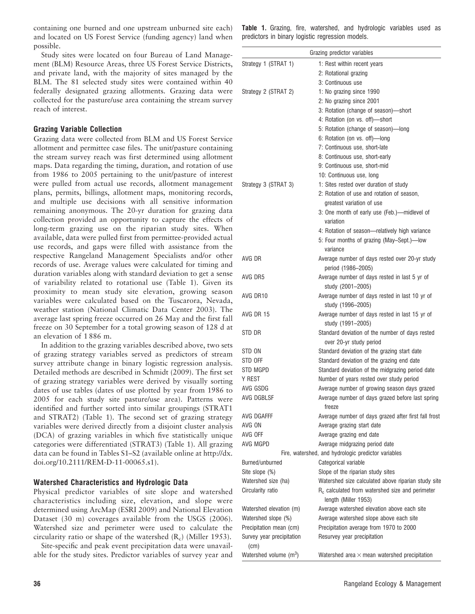containing one burned and one upstream unburned site each) and located on US Forest Service (funding agency) land when possible.

Study sites were located on four Bureau of Land Management (BLM) Resource Areas, three US Forest Service Districts, and private land, with the majority of sites managed by the BLM. The 81 selected study sites were contained within 40 federally designated grazing allotments. Grazing data were collected for the pasture/use area containing the stream survey reach of interest.

# Grazing Variable Collection

Grazing data were collected from BLM and US Forest Service allotment and permittee case files. The unit/pasture containing the stream survey reach was first determined using allotment maps. Data regarding the timing, duration, and rotation of use from 1986 to 2005 pertaining to the unit/pasture of interest were pulled from actual use records, allotment management plans, permits, billings, allotment maps, monitoring records, and multiple use decisions with all sensitive information remaining anonymous. The 20-yr duration for grazing data collection provided an opportunity to capture the effects of long-term grazing use on the riparian study sites. When available, data were pulled first from permittee-provided actual use records, and gaps were filled with assistance from the respective Rangeland Management Specialists and/or other records of use. Average values were calculated for timing and duration variables along with standard deviation to get a sense of variability related to rotational use (Table 1). Given its proximity to mean study site elevation, growing season variables were calculated based on the Tuscarora, Nevada, weather station (National Climatic Data Center 2003). The average last spring freeze occurred on 26 May and the first fall freeze on 30 September for a total growing season of 128 d at an elevation of 1 886 m.

In addition to the grazing variables described above, two sets of grazing strategy variables served as predictors of stream survey attribute change in binary logistic regression analysis. Detailed methods are described in Schmidt (2009). The first set of grazing strategy variables were derived by visually sorting dates of use tables (dates of use plotted by year from 1986 to 2005 for each study site pasture/use area). Patterns were identified and further sorted into similar groupings (STRAT1 and STRAT2) (Table 1). The second set of grazing strategy variables were derived directly from a disjoint cluster analysis (DCA) of grazing variables in which five statistically unique categories were differentiated (STRAT3) (Table 1). All grazing data can be found in Tables S1–S2 (available online at http://dx. doi.org/10.2111/REM-D-11-00065.s1).

# Watershed Characteristics and Hydrologic Data

Physical predictor variables of site slope and watershed characteristics including size, elevation, and slope were determined using ArcMap (ESRI 2009) and National Elevation Dataset (30 m) coverages available from the USGS (2006). Watershed size and perimeter were used to calculate the circularity ratio or shape of the watershed  $(R_c)$  (Miller 1953).

Site-specific and peak event precipitation data were unavailable for the study sites. Predictor variables of survey year and

Table 1. Grazing, fire, watershed, and hydrologic variables used as predictors in binary logistic regression models.

|                                    | Grazing predictor variables                                                |
|------------------------------------|----------------------------------------------------------------------------|
| Strategy 1 (STRAT 1)               | 1: Rest within recent years                                                |
|                                    | 2: Rotational grazing                                                      |
|                                    | 3: Continuous use                                                          |
| Strategy 2 (STRAT 2)               | 1: No grazing since 1990                                                   |
|                                    | 2: No grazing since 2001                                                   |
|                                    | 3: Rotation (change of season)-short                                       |
|                                    | 4: Rotation (on vs. off)-short                                             |
|                                    | 5: Rotation (change of season)-long                                        |
|                                    | 6: Rotation (on vs. off)-long                                              |
|                                    | 7: Continuous use, short-late                                              |
|                                    | 8: Continuous use, short-early                                             |
|                                    | 9: Continuous use, short-mid                                               |
|                                    | 10: Continuous use, long                                                   |
| Strategy 3 (STRAT 3)               | 1: Sites rested over duration of study                                     |
|                                    | 2: Rotation of use and rotation of season,                                 |
|                                    | greatest variation of use                                                  |
|                                    | 3: One month of early use (Feb.)-midlevel of                               |
|                                    | variation                                                                  |
|                                    | 4: Rotation of season-relatively high variance                             |
|                                    | 5: Four months of grazing (May-Sept.)-low                                  |
|                                    | variance                                                                   |
| AVG DR                             | Average number of days rested over 20-yr study                             |
|                                    | period (1986-2005)                                                         |
| AVG DR5                            | Average number of days rested in last 5 yr of<br>study (2001-2005)         |
| AVG DR10                           |                                                                            |
|                                    | Average number of days rested in last 10 yr of                             |
| <b>AVG DR 15</b>                   | study (1996-2005)<br>Average number of days rested in last 15 yr of        |
|                                    | study (1991-2005)                                                          |
| STD DR                             | Standard deviation of the number of days rested                            |
|                                    | over 20-yr study period                                                    |
| STD ON                             | Standard deviation of the grazing start date                               |
| STD OFF                            | Standard deviation of the grazing end date                                 |
| STD MGPD                           | Standard deviation of the midgrazing period date                           |
| <b>Y REST</b>                      | Number of years rested over study period                                   |
| AVG GSDG                           | Average number of growing season days grazed                               |
| AVG DGBLSF                         | Average number of days grazed before last spring                           |
|                                    | freeze                                                                     |
| AVG DGAFFF                         | Average number of days grazed after first fall frost                       |
| AVG ON                             | Average grazing start date                                                 |
| AVG OFF                            | Average grazing end date                                                   |
| AVG MGPD                           | Average midgrazing period date                                             |
|                                    | Fire, watershed, and hydrologic predictor variables                        |
| Burned/unburned                    | Categorical variable                                                       |
| Site slope (%)                     | Slope of the riparian study sites                                          |
| Watershed size (ha)                | Watershed size calculated above riparian study site                        |
| Circularity ratio                  | $R_c$ calculated from watershed size and perimeter<br>length (Miller 1953) |
| Watershed elevation (m)            | Average watershed elevation above each site                                |
| Watershed slope (%)                | Average watershed slope above each site                                    |
| Precipitation mean (cm)            | Precipitation average from 1970 to 2000                                    |
| Survey year precipitation<br>(cm)  | Resurvey year precipitation                                                |
| Watershed volume (m <sup>3</sup> ) | Watershed area $\times$ mean watershed precipitation                       |
|                                    |                                                                            |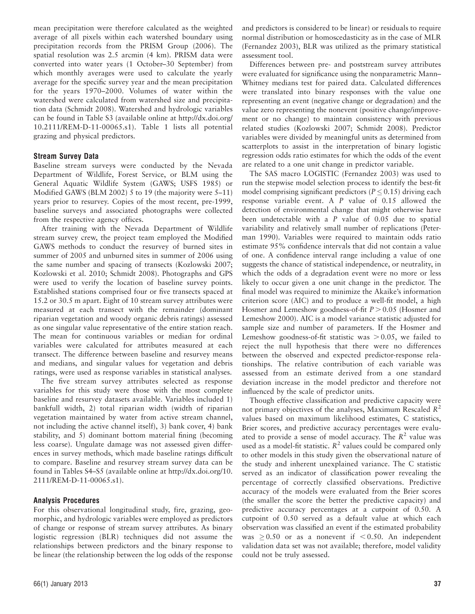mean precipitation were therefore calculated as the weighted average of all pixels within each watershed boundary using precipitation records from the PRISM Group (2006). The spatial resolution was 2.5 arcmin (4 km). PRISM data were converted into water years (1 October–30 September) from which monthly averages were used to calculate the yearly average for the specific survey year and the mean precipitation for the years 1970–2000. Volumes of water within the watershed were calculated from watershed size and precipitation data (Schmidt 2008). Watershed and hydrologic variables can be found in Table S3 (available online at http://dx.doi.org/ 10.2111/REM-D-11-00065.s1). Table 1 lists all potential grazing and physical predictors.

### Stream Survey Data

Baseline stream surveys were conducted by the Nevada Department of Wildlife, Forest Service, or BLM using the General Aquatic Wildlife System (GAWS; USFS 1985) or Modified GAWS (BLM 2002) 5 to 19 (the majority were 5–11) years prior to resurvey. Copies of the most recent, pre-1999, baseline surveys and associated photographs were collected from the respective agency offices.

After training with the Nevada Department of Wildlife stream survey crew, the project team employed the Modified GAWS methods to conduct the resurvey of burned sites in summer of 2005 and unburned sites in summer of 2006 using the same number and spacing of transects (Kozlowski 2007; Kozlowski et al. 2010; Schmidt 2008). Photographs and GPS were used to verify the location of baseline survey points. Established stations comprised four or five transects spaced at 15.2 or 30.5 m apart. Eight of 10 stream survey attributes were measured at each transect with the remainder (dominant riparian vegetation and woody organic debris ratings) assessed as one singular value representative of the entire station reach. The mean for continuous variables or median for ordinal variables were calculated for attributes measured at each transect. The difference between baseline and resurvey means and medians, and singular values for vegetation and debris ratings, were used as response variables in statistical analyses.

The five stream survey attributes selected as response variables for this study were those with the most complete baseline and resurvey datasets available. Variables included 1) bankfull width, 2) total riparian width (width of riparian vegetation maintained by water from active stream channel, not including the active channel itself), 3) bank cover, 4) bank stability, and 5) dominant bottom material fining (becoming less coarse). Ungulate damage was not assessed given differences in survey methods, which made baseline ratings difficult to compare. Baseline and resurvey stream survey data can be found in Tables S4–S5 (available online at http://dx.doi.org/10. 2111/REM-D-11-00065.s1).

#### Analysis Procedures

For this observational longitudinal study, fire, grazing, geomorphic, and hydrologic variables were employed as predictors of change or response of stream survey attributes. As binary logistic regression (BLR) techniques did not assume the relationships between predictors and the binary response to be linear (the relationship between the log odds of the response

and predictors is considered to be linear) or residuals to require normal distribution or homoscedasticity as in the case of MLR (Fernandez 2003), BLR was utilized as the primary statistical assessment tool.

Differences between pre- and poststream survey attributes were evaluated for significance using the nonparametric Mann– Whitney medians test for paired data. Calculated differences were translated into binary responses with the value one representing an event (negative change or degradation) and the value zero representing the nonevent (positive change/improvement or no change) to maintain consistency with previous related studies (Kozlowski 2007; Schmidt 2008). Predictor variables were divided by meaningful units as determined from scatterplots to assist in the interpretation of binary logistic regression odds ratio estimates for which the odds of the event are related to a one unit change in predictor variable.

The SAS macro LOGISTIC (Fernandez 2003) was used to run the stepwise model selection process to identify the best-fit model comprising significant predictors ( $P \leq 0.15$ ) driving each response variable event. A P value of 0.15 allowed the detection of environmental change that might otherwise have been undetectable with a P value of 0.05 due to spatial variability and relatively small number of replications (Peterman 1990). Variables were required to maintain odds ratio estimate 95% confidence intervals that did not contain a value of one. A confidence interval range including a value of one suggests the chance of statistical independence, or neutrality, in which the odds of a degradation event were no more or less likely to occur given a one unit change in the predictor. The final model was required to minimize the Akaike's information criterion score (AIC) and to produce a well-fit model, a high Hosmer and Lemeshow goodness-of-fit  $P > 0.05$  (Hosmer and Lemeshow 2000). AIC is a model variance statistic adjusted for sample size and number of parameters. If the Hosmer and Lemeshow goodness-of-fit statistic was  $> 0.05$ , we failed to reject the null hypothesis that there were no differences between the observed and expected predictor-response relationships. The relative contribution of each variable was assessed from an estimate derived from a one standard deviation increase in the model predictor and therefore not influenced by the scale of predictor units.

Though effective classification and predictive capacity were not primary objectives of the analyses, Maximum Rescaled  $R^2$ values based on maximum likelihood estimates, C statistics, Brier scores, and predictive accuracy percentages were evaluated to provide a sense of model accuracy. The  $R^2$  value was used as a model-fit statistic.  $R^2$  values could be compared only to other models in this study given the observational nature of the study and inherent unexplained variance. The C statistic served as an indicator of classification power revealing the percentage of correctly classified observations. Predictive accuracy of the models were evaluated from the Brier scores (the smaller the score the better the predictive capacity) and predictive accuracy percentages at a cutpoint of 0.50. A cutpoint of 0.50 served as a default value at which each observation was classified an event if the estimated probability was  $\geq 0.50$  or as a nonevent if < 0.50. An independent validation data set was not available; therefore, model validity could not be truly assessed.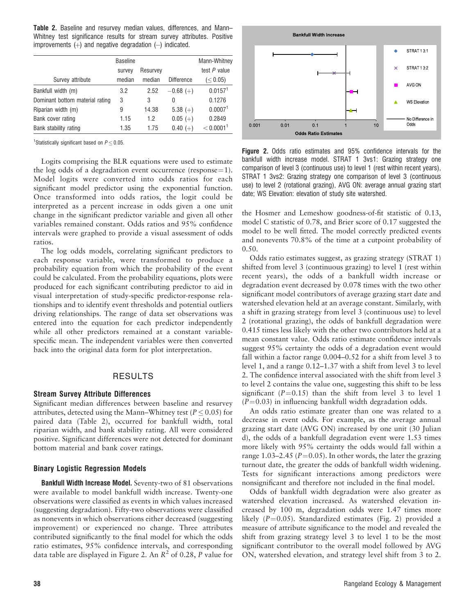Table 2. Baseline and resurvey median values, differences, and Mann– Whitney test significance results for stream survey attributes. Positive improvements  $(+)$  and negative degradation  $(-)$  indicated.

|                                 | <b>Baseline</b> |          |                   | Mann-Whitney          |
|---------------------------------|-----------------|----------|-------------------|-----------------------|
|                                 | survey          | Resurvev |                   | test P value          |
| Survey attribute                | median          | median   | <b>Difference</b> | (< 0.05)              |
| Bankfull width (m)              | 3.2             | 2.52     | $-0.68$ (+)       | 0.0157 <sup>1</sup>   |
| Dominant bottom material rating | 3               | 3        | 0                 | 0.1276                |
| Riparian width (m)              | 9               | 14.38    | $5.38 (+)$        | 0.0007 <sup>1</sup>   |
| Bank cover rating               | 1.15            | 1.2      | $0.05 (+)$        | 0.2849                |
| Bank stability rating           | 1.35            | 1.75     | $0.40 (+)$        | < 0.0001 <sup>1</sup> |

<sup>1</sup>Statistically significant based on  $P \leq 0.05$ .

Logits comprising the BLR equations were used to estimate the log odds of a degradation event occurrence (response $=1$ ). Model logits were converted into odds ratios for each significant model predictor using the exponential function. Once transformed into odds ratios, the logit could be interpreted as a percent increase in odds given a one unit change in the significant predictor variable and given all other variables remained constant. Odds ratios and 95% confidence intervals were graphed to provide a visual assessment of odds ratios.

The log odds models, correlating significant predictors to each response variable, were transformed to produce a probability equation from which the probability of the event could be calculated. From the probability equations, plots were produced for each significant contributing predictor to aid in visual interpretation of study-specific predictor-response relationships and to identify event thresholds and potential outliers driving relationships. The range of data set observations was entered into the equation for each predictor independently while all other predictors remained at a constant variablespecific mean. The independent variables were then converted back into the original data form for plot interpretation.

# RESULTS

### Stream Survey Attribute Differences

Significant median differences between baseline and resurvey attributes, detected using the Mann–Whitney test ( $P \leq 0.05$ ) for paired data (Table 2), occurred for bankfull width, total riparian width, and bank stability rating. All were considered positive. Significant differences were not detected for dominant bottom material and bank cover ratings.

### Binary Logistic Regression Models

Bankfull Width Increase Model. Seventy-two of 81 observations were available to model bankfull width increase. Twenty-one observations were classified as events in which values increased (suggesting degradation). Fifty-two observations were classified as nonevents in which observations either decreased (suggesting improvement) or experienced no change. Three attributes contributed significantly to the final model for which the odds ratio estimates, 95% confidence intervals, and corresponding data table are displayed in Figure 2. An  $R^2$  of 0.28, P value for



**Figure 2.** Odds ratio estimates and 95% confidence intervals for the bankfull width increase model. STRAT 1 3vs1: Grazing strategy one comparison of level 3 (continuous use) to level 1 (rest within recent years), STRAT 1 3vs2: Grazing strategy one comparison of level 3 (continuous use) to level 2 (rotational grazing), AVG ON: average annual grazing start date; WS Elevation: elevation of study site watershed.

the Hosmer and Lemeshow goodness-of-fit statistic of 0.13, model C statistic of 0.78, and Brier score of 0.17 suggested the model to be well fitted. The model correctly predicted events and nonevents 70.8% of the time at a cutpoint probability of 0.50.

Odds ratio estimates suggest, as grazing strategy (STRAT 1) shifted from level 3 (continuous grazing) to level 1 (rest within recent years), the odds of a bankfull width increase or degradation event decreased by 0.078 times with the two other significant model contributors of average grazing start date and watershed elevation held at an average constant. Similarly, with a shift in grazing strategy from level 3 (continuous use) to level 2 (rotational grazing), the odds of bankfull degradation were 0.415 times less likely with the other two contributors held at a mean constant value. Odds ratio estimate confidence intervals suggest 95% certainty the odds of a degradation event would fall within a factor range 0.004–0.52 for a shift from level 3 to level 1, and a range 0.12–1.37 with a shift from level 3 to level 2. The confidence interval associated with the shift from level 3 to level 2 contains the value one, suggesting this shift to be less significant ( $P=0.15$ ) than the shift from level 3 to level 1  $(P=0.03)$  in influencing bankfull width degradation odds.

An odds ratio estimate greater than one was related to a decrease in event odds. For example, as the average annual grazing start date (AVG ON) increased by one unit (30 Julian d), the odds of a bankfull degradation event were 1.53 times more likely with 95% certainty the odds would fall within a range 1.03–2.45 ( $P = 0.05$ ). In other words, the later the grazing turnout date, the greater the odds of bankfull width widening. Tests for significant interactions among predictors were nonsignificant and therefore not included in the final model.

Odds of bankfull width degradation were also greater as watershed elevation increased. As watershed elevation increased by 100 m, degradation odds were 1.47 times more likely ( $P=0.05$ ). Standardized estimates (Fig. 2) provided a measure of attribute significance to the model and revealed the shift from grazing strategy level 3 to level 1 to be the most significant contributor to the overall model followed by AVG ON, watershed elevation, and strategy level shift from 3 to 2.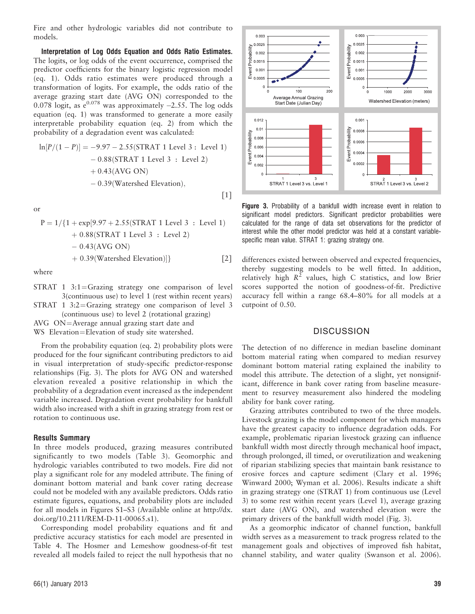Fire and other hydrologic variables did not contribute to models.

Interpretation of Log Odds Equation and Odds Ratio Estimates. The logits, or log odds of the event occurrence, comprised the predictor coefficients for the binary logistic regression model (eq. 1). Odds ratio estimates were produced through a transformation of logits. For example, the odds ratio of the average grazing start date (AVG ON) corresponded to the 0.078 logit, as  $e^{0.078}$  was approximately  $-2.55$ . The log odds equation (eq. 1) was transformed to generate a more easily interpretable probability equation (eq. 2) from which the probability of a degradation event was calculated:

$$
ln[P/(1 - P)] = -9.97 - 2.55 \text{ (STRAT 1 Level 3 : Level 1)} - 0.88 \text{ (STRAT 1 Level 3 : Level 2)} + 0.43 \text{ (AVG ON)} - 0.39 \text{ (Watershed Elevation)},
$$

 $[1]$ 

or

$$
P = 1/{1 + \exp[9.97 + 2.55(\text{STRAT 1 Level 3 : Level 1})
$$
  
+ 0.88(\text{STRAT 1 Level 3 : Level 2})  
- 0.43(\text{AVG ON})  
+ 0.39(\text{Watershed Elevation})] [2]

where

- $STRAT$  1 3:1=Grazing strategy one comparison of level 3(continuous use) to level 1 (rest within recent years)
- STRAT 1 3:2=Grazing strategy one comparison of level 3 (continuous use) to level 2 (rotational grazing)
- AVG  $ON = Average$  annual grazing start date and
- WS Elevation=Elevation of study site watershed.

From the probability equation (eq. 2) probability plots were produced for the four significant contributing predictors to aid in visual interpretation of study-specific predictor-response relationships (Fig. 3). The plots for AVG ON and watershed elevation revealed a positive relationship in which the probability of a degradation event increased as the independent variable increased. Degradation event probability for bankfull width also increased with a shift in grazing strategy from rest or rotation to continuous use.

### Results Summary

In three models produced, grazing measures contributed significantly to two models (Table 3). Geomorphic and hydrologic variables contributed to two models. Fire did not play a significant role for any modeled attribute. The fining of dominant bottom material and bank cover rating decrease could not be modeled with any available predictors. Odds ratio estimate figures, equations, and probability plots are included for all models in Figures S1–S3 (Available online at http://dx. doi.org/10.2111/REM-D-11-00065.s1).

Corresponding model probability equations and fit and predictive accuracy statistics for each model are presented in Table 4. The Hosmer and Lemeshow goodness-of-fit test revealed all models failed to reject the null hypothesis that no



Figure 3. Probability of a bankfull width increase event in relation to significant model predictors. Significant predictor probabilities were calculated for the range of data set observations for the predictor of interest while the other model predictor was held at a constant variablespecific mean value. STRAT 1: grazing strategy one.

differences existed between observed and expected frequencies, thereby suggesting models to be well fitted. In addition, relatively high  $R^2$  values, high C statistics, and low Brier scores supported the notion of goodness-of-fit. Predictive accuracy fell within a range 68.4–80% for all models at a cutpoint of 0.50.

### **DISCUSSION**

The detection of no difference in median baseline dominant bottom material rating when compared to median resurvey dominant bottom material rating explained the inability to model this attribute. The detection of a slight, yet nonsignificant, difference in bank cover rating from baseline measurement to resurvey measurement also hindered the modeling ability for bank cover rating.

Grazing attributes contributed to two of the three models. Livestock grazing is the model component for which managers have the greatest capacity to influence degradation odds. For example, problematic riparian livestock grazing can influence bankfull width most directly through mechanical hoof impact, through prolonged, ill timed, or overutilization and weakening of riparian stabilizing species that maintain bank resistance to erosive forces and capture sediment (Clary et al. 1996; Winward 2000; Wyman et al. 2006). Results indicate a shift in grazing strategy one (STRAT 1) from continuous use (Level 3) to some rest within recent years (Level 1), average grazing start date (AVG ON), and watershed elevation were the primary drivers of the bankfull width model (Fig. 3).

As a geomorphic indicator of channel function, bankfull width serves as a measurement to track progress related to the management goals and objectives of improved fish habitat, channel stability, and water quality (Swanson et al. 2006).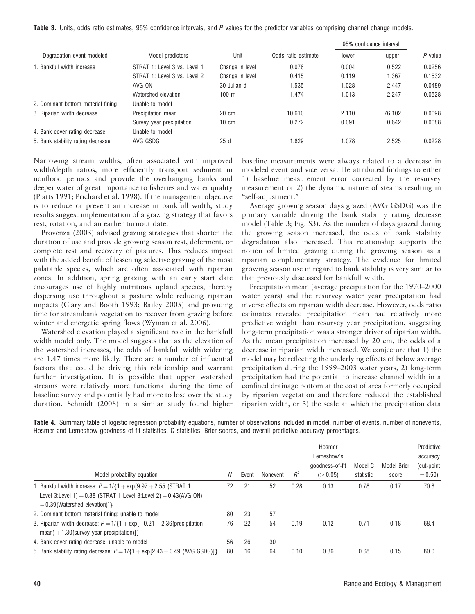Table 3. Units, odds ratio estimates, 95% confidence intervals, and P values for the predictor variables comprising channel change models.

|                                    |                              |                 |                     | 95% confidence interval |                                   |           |
|------------------------------------|------------------------------|-----------------|---------------------|-------------------------|-----------------------------------|-----------|
| Degradation event modeled          | Model predictors             | Unit            | Odds ratio estimate | lower                   | upper                             | $P$ value |
| 1. Bankfull width increase         | STRAT 1: Level 3 vs. Level 1 | Change in level | 0.078               | 0.004                   | 0.522                             | 0.0256    |
|                                    | STRAT 1: Level 3 vs. Level 2 | Change in level | 0.415               | 0.119                   | 1.367<br>2.447<br>2.247<br>76.102 | 0.1532    |
|                                    | AVG ON                       | 30 Julian d     | 1.535               | 1.028                   |                                   | 0.0489    |
|                                    | Watershed elevation          | $100 \text{ m}$ | 1.474               | 1.013                   |                                   | 0.0528    |
| 2. Dominant bottom material fining | Unable to model              |                 |                     |                         |                                   |           |
| 3. Riparian width decrease         | Precipitation mean           | $20 \text{ cm}$ | 10.610              | 2.110                   |                                   | 0.0098    |
|                                    | Survey year precipitation    | $10 \text{ cm}$ | 0.272               | 0.091                   | 0.642                             | 0.0088    |
| 4. Bank cover rating decrease      | Unable to model              |                 |                     |                         |                                   |           |
| 5. Bank stability rating decrease  | AVG GSDG                     | 25d             | 1.629               | 1.078                   | 2.525                             | 0.0228    |

Narrowing stream widths, often associated with improved width/depth ratios, more efficiently transport sediment in nonflood periods and provide the overhanging banks and deeper water of great importance to fisheries and water quality (Platts 1991; Prichard et al. 1998). If the management objective is to reduce or prevent an increase in bankfull width, study results suggest implementation of a grazing strategy that favors rest, rotation, and an earlier turnout date.

Provenza (2003) advised grazing strategies that shorten the duration of use and provide growing season rest, deferment, or complete rest and recovery of pastures. This reduces impact with the added benefit of lessening selective grazing of the most palatable species, which are often associated with riparian zones. In addition, spring grazing with an early start date encourages use of highly nutritious upland species, thereby dispersing use throughout a pasture while reducing riparian impacts (Clary and Booth 1993; Bailey 2005) and providing time for streambank vegetation to recover from grazing before winter and energetic spring flows (Wyman et al. 2006).

Watershed elevation played a significant role in the bankfull width model only. The model suggests that as the elevation of the watershed increases, the odds of bankfull width widening are 1.47 times more likely. There are a number of influential factors that could be driving this relationship and warrant further investigation. It is possible that upper watershed streams were relatively more functional during the time of baseline survey and potentially had more to lose over the study duration. Schmidt (2008) in a similar study found higher

baseline measurements were always related to a decrease in modeled event and vice versa. He attributed findings to either 1) baseline measurement error corrected by the resurvey measurement or 2) the dynamic nature of steams resulting in ''self-adjustment.''

Average growing season days grazed (AVG GSDG) was the primary variable driving the bank stability rating decrease model (Table 3; Fig. S3). As the number of days grazed during the growing season increased, the odds of bank stability degradation also increased. This relationship supports the notion of limited grazing during the growing season as a riparian complementary strategy. The evidence for limited growing season use in regard to bank stability is very similar to that previously discussed for bankfull width.

Precipitation mean (average precipitation for the 1970–2000 water years) and the resurvey water year precipitation had inverse effects on riparian width decrease. However, odds ratio estimates revealed precipitation mean had relatively more predictive weight than resurvey year precipitation, suggesting long-term precipitation was a stronger driver of riparian width. As the mean precipitation increased by 20 cm, the odds of a decrease in riparian width increased. We conjecture that 1) the model may be reflecting the underlying effects of below average precipitation during the 1999–2003 water years, 2) long-term precipitation had the potential to increase channel width in a confined drainage bottom at the cost of area formerly occupied by riparian vegetation and therefore reduced the established riparian width, or 3) the scale at which the precipitation data

Table 4. Summary table of logistic regression probability equations, number of observations included in model, number of events, number of nonevents, Hosmer and Lemeshow goodness-of-fit statistics, C statistics, Brier scores, and overall predictive accuracy percentages.

|                                                                                                                                                                                          | Hosmer<br>Lemeshow's |       |          |       | Predictive<br>accuracy     |                      |                             |                        |
|------------------------------------------------------------------------------------------------------------------------------------------------------------------------------------------|----------------------|-------|----------|-------|----------------------------|----------------------|-----------------------------|------------------------|
| Model probability equation                                                                                                                                                               | Ν                    | Event | Nonevent | $R^2$ | goodness-of-fit<br>(>0.05) | Model C<br>statistic | <b>Model Brier</b><br>score | (cut-point<br>$= 0.50$ |
|                                                                                                                                                                                          |                      |       |          |       |                            |                      |                             |                        |
| 1. Bankfull width increase: $P = 1/\{1 + \exp[9.97 + 2.55 \text{ (STRAT 1$<br>Level 3: Level $1) + 0.88$ (STRAT 1 Level 3: Level 2) $- 0.43$ (AVG ON)<br>$-0.39$ (Watershed elevation)]} | 72                   | 21    | 52       | 0.28  | 0.13                       | 0.78                 | 0.17                        | 70.8                   |
| 2. Dominant bottom material fining: unable to model                                                                                                                                      | 80                   | 23    | 57       |       |                            |                      |                             |                        |
| 3. Riparian width decrease: $P = 1/(1 + \exp[-0.21 - 2.36(\text{precipitation})$<br>$mean$ ) + 1.30(survey year precipitation)]}                                                         | 76                   | 22    | 54       | 0.19  | 0.12                       | 0.71                 | 0.18                        | 68.4                   |
| 4. Bank cover rating decrease: unable to model                                                                                                                                           | 56                   | 26    | 30       |       |                            |                      |                             |                        |
| 5. Bank stability rating decrease: $P = 1/\{1 + \exp[2.43 - 0.49 \text{ (AVG GSDG)}]\}$                                                                                                  | 80                   | 16    | 64       | 0.10  | 0.36                       | 0.68                 | 0.15                        | 80.0                   |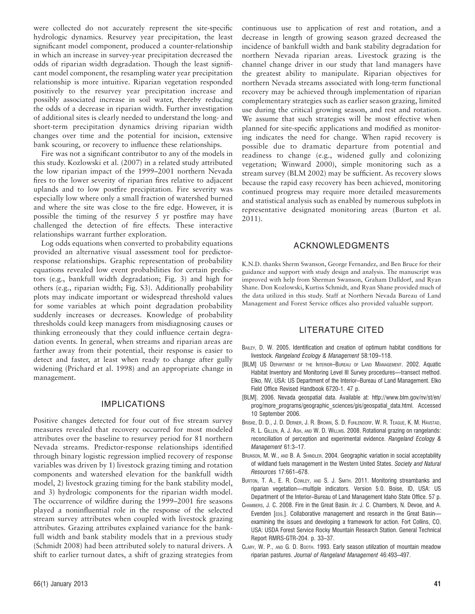were collected do not accurately represent the site-specific hydrologic dynamics. Resurvey year precipitation, the least significant model component, produced a counter-relationship in which an increase in survey-year precipitation decreased the odds of riparian width degradation. Though the least significant model component, the resampling water year precipitation relationship is more intuitive. Riparian vegetation responded positively to the resurvey year precipitation increase and possibly associated increase in soil water, thereby reducing the odds of a decrease in riparian width. Further investigation of additional sites is clearly needed to understand the long- and short-term precipitation dynamics driving riparian width changes over time and the potential for incision, extensive bank scouring, or recovery to influence these relationships.

Fire was not a significant contributor to any of the models in this study. Kozlowski et al. (2007) in a related study attributed the low riparian impact of the 1999–2001 northern Nevada fires to the lower severity of riparian fires relative to adjacent uplands and to low postfire precipitation. Fire severity was especially low where only a small fraction of watershed burned and where the site was close to the fire edge. However, it is possible the timing of the resurvey 5 yr postfire may have challenged the detection of fire effects. These interactive relationships warrant further exploration.

Log odds equations when converted to probability equations provided an alternative visual assessment tool for predictorresponse relationships. Graphic representation of probability equations revealed low event probabilities for certain predictors (e.g., bankfull width degradation; Fig. 3) and high for others (e.g., riparian width; Fig. S3). Additionally probability plots may indicate important or widespread threshold values for some variables at which point degradation probability suddenly increases or decreases. Knowledge of probability thresholds could keep managers from misdiagnosing causes or thinking erroneously that they could influence certain degradation events. In general, when streams and riparian areas are farther away from their potential, their response is easier to detect and faster, at least when ready to change after gully widening (Prichard et al. 1998) and an appropriate change in management.

### IMPLICATIONS

Positive changes detected for four out of five stream survey measures revealed that recovery occurred for most modeled attributes over the baseline to resurvey period for 81 northern Nevada streams. Predictor-response relationships identified through binary logistic regression implied recovery of response variables was driven by 1) livestock grazing timing and rotation components and watershed elevation for the bankfull width model, 2) livestock grazing timing for the bank stability model, and 3) hydrologic components for the riparian width model. The occurrence of wildfire during the 1999–2001 fire seasons played a noninfluential role in the response of the selected stream survey attributes when coupled with livestock grazing attributes. Grazing attributes explained variance for the bankfull width and bank stability models that in a previous study (Schmidt 2008) had been attributed solely to natural drivers. A shift to earlier turnout dates, a shift of grazing strategies from

incidence of bankfull width and bank stability degradation for northern Nevada riparian areas. Livestock grazing is the channel change driver in our study that land managers have the greatest ability to manipulate. Riparian objectives for northern Nevada streams associated with long-term functional recovery may be achieved through implementation of riparian complementary strategies such as earlier season grazing, limited use during the critical growing season, and rest and rotation. We assume that such strategies will be most effective when planned for site-specific applications and modified as monitoring indicates the need for change. When rapid recovery is possible due to dramatic departure from potential and readiness to change (e.g., widened gully and colonizing vegetation; Winward 2000), simple monitoring such as a stream survey (BLM 2002) may be sufficient. As recovery slows because the rapid easy recovery has been achieved, monitoring continued progress may require more detailed measurements and statistical analysis such as enabled by numerous subplots in representative designated monitoring areas (Burton et al. 2011).

continuous use to application of rest and rotation, and a decrease in length of growing season grazed decreased the

### ACKNOWLEDGMENTS

K.N.D. thanks Sherm Swanson, George Fernandez, and Ben Bruce for their guidance and support with study design and analysis. The manuscript was improved with help from Sherman Swanson, Graham Dalldorf, and Ryan Shane. Don Kozlowski, Kurtiss Schmidt, and Ryan Shane provided much of the data utilized in this study. Staff at Northern Nevada Bureau of Land Management and Forest Service offices also provided valuable support.

# LITERATURE CITED

- BAILEY, D. W. 2005. Identification and creation of optimum habitat conditions for livestock. Rangeland Ecology & Management 58:109–118.
- [BLM] US DEPARTMENT OF THE INTERIOR–BUREAU OF LAND MANAGEMENT. 2002. Aquatic Habitat Inventory and Monitoring Level III Survey procedures—transect method. Elko, NV, USA: US Department of the Interior–Bureau of Land Management. Elko Field Office Revised Handbook 6720-1. 47 p.
- [BLM]. 2006. Nevada geospatial data. Available at: http://www.blm.gov/nv/st/en/ prog/more\_programs/geographic\_sciences/gis/geospatial\_data.html. Accessed 10 September 2006.
- BRISKE, D. D., J. D. DERNER, J. R. BROWN, S. D. FUHLENDORF, W. R. TEAGUE, K. M. HAVSTAD, R. L. GILLEN, A. J. ASH, AND W. D. WILLMS. 2008. Rotational grazing on rangelands: reconciliation of perception and experimental evidence. Rangeland Ecology & Management 61:3–17.
- BRUNSON, M. W., AND B. A. SHINDLER. 2004. Geographic variation in social acceptability of wildland fuels management in the Western United States. Society and Natural Resources 17:661–678.
- BURTON, T. A., E. R. COWLEY, AND S. J. SMITH. 2011. Monitoring streambanks and riparian vegetation—multiple indicators. Version 5.0. Boise, ID, USA: US Department of the Interior–Bureau of Land Management Idaho State Office. 57 p.
- CHAMBERS, J. C. 2008. Fire in the Great Basin. In: J. C. Chambers, N. Devoe, and A. Evenden [EDS.]. Collaborative management and research in the Great Basinexamining the issues and developing a framework for action. Fort Collins, CO, USA: USDA Forest Service Rocky Mountain Research Station. General Technical Report RMRS-GTR-204. p. 33–37.
- CLARY, W. P., AND G. D. BOOTH. 1993. Early season utilization of mountain meadow riparian pastures. Journal of Rangeland Management 46:493–497.